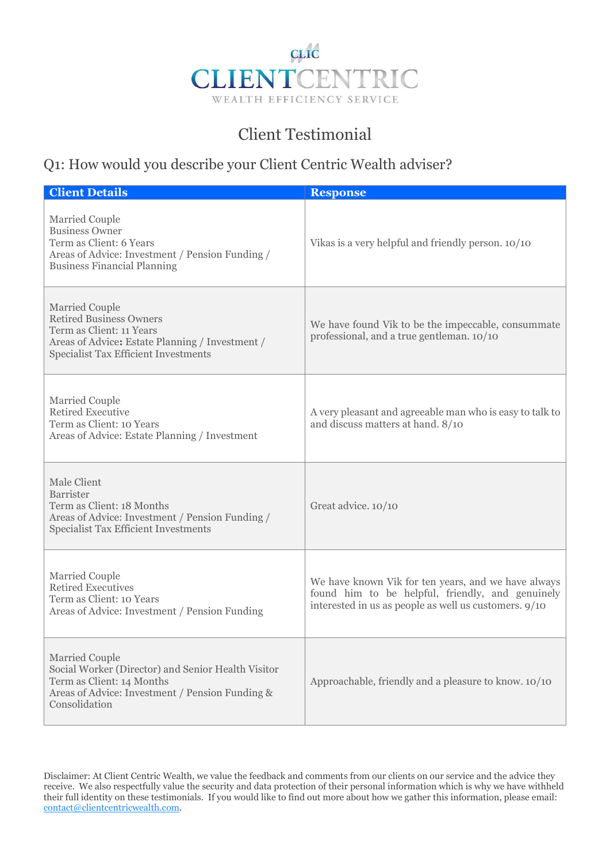

## Client Testimonial

## Q1: How would you describe your Client Centric Wealth adviser?

| <b>Client Details</b>                                                                                                                                                          | <b>Response</b>                                                                                                                                                  |
|--------------------------------------------------------------------------------------------------------------------------------------------------------------------------------|------------------------------------------------------------------------------------------------------------------------------------------------------------------|
| <b>Married Couple</b><br><b>Business Owner</b><br>Term as Client: 6 Years<br>Areas of Advice: Investment / Pension Funding /<br><b>Business Financial Planning</b>             | Vikas is a very helpful and friendly person. 10/10                                                                                                               |
| Married Couple<br><b>Retired Business Owners</b><br>Term as Client: 11 Years<br>Areas of Advice: Estate Planning / Investment /<br><b>Specialist Tax Efficient Investments</b> | We have found Vik to be the impeccable, consummate<br>professional, and a true gentleman. 10/10                                                                  |
| <b>Married Couple</b><br><b>Retired Executive</b><br>Term as Client: 10 Years<br>Areas of Advice: Estate Planning / Investment                                                 | A very pleasant and agreeable man who is easy to talk to<br>and discuss matters at hand. 8/10                                                                    |
| Male Client<br>Barrister<br>Term as Client: 18 Months<br>Areas of Advice: Investment / Pension Funding /<br><b>Specialist Tax Efficient Investments</b>                        | Great advice. 10/10                                                                                                                                              |
| <b>Married Couple</b><br><b>Retired Executives</b><br>Term as Client: 10 Years<br>Areas of Advice: Investment / Pension Funding                                                | We have known Vik for ten years, and we have always<br>found him to be helpful, friendly, and genuinely<br>interested in us as people as well us customers. 9/10 |
| <b>Married Couple</b><br>Social Worker (Director) and Senior Health Visitor<br>Term as Client: 14 Months<br>Areas of Advice: Investment / Pension Funding &<br>Consolidation   | Approachable, friendly and a pleasure to know. 10/10                                                                                                             |

Disclaimer: At Client Centric Wealth, we value the feedback and comments from our clients on our service and the advice they receive. We also respectfully value the security and data protection of their personal information which is why we have withheld their full identity on these testimonials. If you would like to find out more about how we gather this information, please email: contact@clientcentricwealth.com.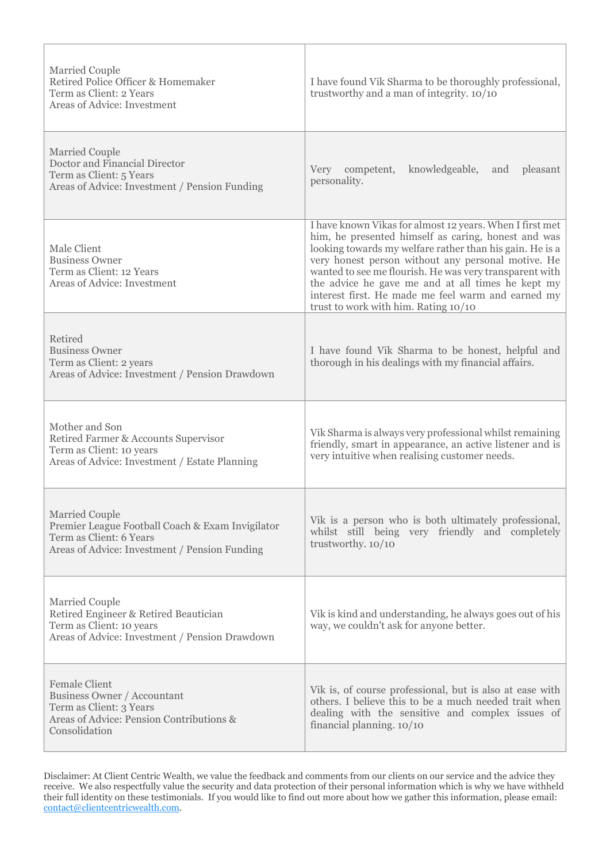| <b>Married Couple</b><br>Retired Police Officer & Homemaker<br>Term as Client: 2 Years<br>Areas of Advice: Investment                          | I have found Vik Sharma to be thoroughly professional,<br>trustworthy and a man of integrity. 10/10                                                                                                                                                                                                                                                                                                                                             |
|------------------------------------------------------------------------------------------------------------------------------------------------|-------------------------------------------------------------------------------------------------------------------------------------------------------------------------------------------------------------------------------------------------------------------------------------------------------------------------------------------------------------------------------------------------------------------------------------------------|
| <b>Married Couple</b><br>Doctor and Financial Director<br>Term as Client: 5 Years<br>Areas of Advice: Investment / Pension Funding             | Very competent,<br>knowledgeable,<br>pleasant<br>and<br>personality.                                                                                                                                                                                                                                                                                                                                                                            |
| Male Client<br><b>Business Owner</b><br>Term as Client: 12 Years<br>Areas of Advice: Investment                                                | I have known Vikas for almost 12 years. When I first met<br>him, he presented himself as caring, honest and was<br>looking towards my welfare rather than his gain. He is a<br>very honest person without any personal motive. He<br>wanted to see me flourish. He was very transparent with<br>the advice he gave me and at all times he kept my<br>interest first. He made me feel warm and earned my<br>trust to work with him. Rating 10/10 |
| Retired<br><b>Business Owner</b><br>Term as Client: 2 years<br>Areas of Advice: Investment / Pension Drawdown                                  | I have found Vik Sharma to be honest, helpful and<br>thorough in his dealings with my financial affairs.                                                                                                                                                                                                                                                                                                                                        |
| Mother and Son<br>Retired Farmer & Accounts Supervisor<br>Term as Client: 10 years<br>Areas of Advice: Investment / Estate Planning            | Vik Sharma is always very professional whilst remaining<br>friendly, smart in appearance, an active listener and is<br>very intuitive when realising customer needs.                                                                                                                                                                                                                                                                            |
| Married Couple<br>Premier League Football Coach & Exam Invigilator<br>Term as Client: 6 Years<br>Areas of Advice: Investment / Pension Funding | Vik is a person who is both ultimately professional,<br>whilst still being very friendly and completely<br>trustworthy. 10/10                                                                                                                                                                                                                                                                                                                   |
| <b>Married Couple</b><br>Retired Engineer & Retired Beautician<br>Term as Client: 10 years<br>Areas of Advice: Investment / Pension Drawdown   | Vik is kind and understanding, he always goes out of his<br>way, we couldn't ask for anyone better.                                                                                                                                                                                                                                                                                                                                             |
| <b>Female Client</b><br>Business Owner / Accountant<br>Term as Client: 3 Years<br>Areas of Advice: Pension Contributions &<br>Consolidation    | Vik is, of course professional, but is also at ease with<br>others. I believe this to be a much needed trait when<br>dealing with the sensitive and complex issues of<br>financial planning. 10/10                                                                                                                                                                                                                                              |

Disclaimer: At Client Centric Wealth, we value the feedback and comments from our clients on our service and the advice they receive. We also respectfully value the security and data protection of their personal information which is why we have withheld their full identity on these testimonials. If you would like to find out more about how we gather this information, please email: contact@clientcentricwealth.com.